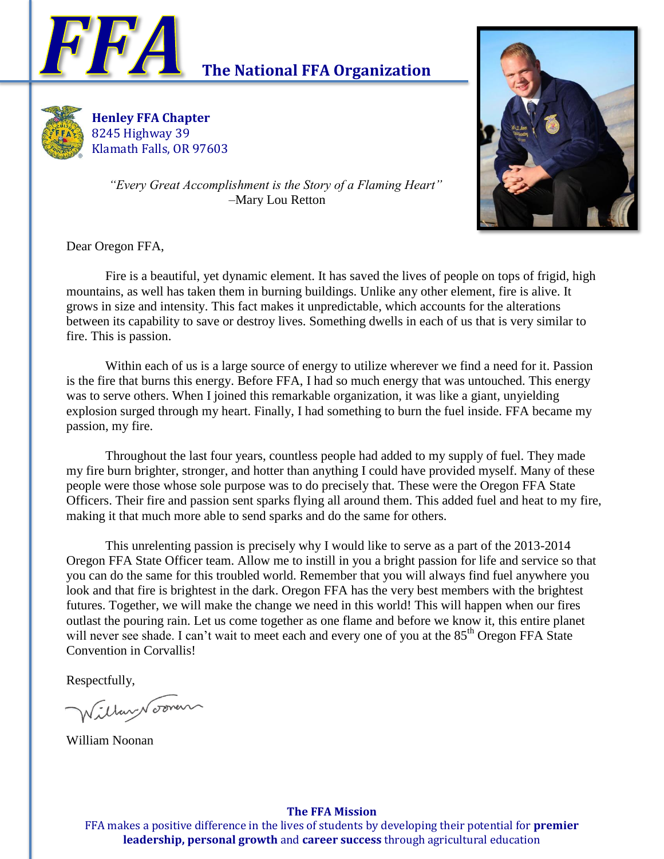

# **The National FFA Organization**



**Henley FFA Chapter** 8245 Highway 39 Klamath Falls, OR 97603



*"Every Great Accomplishment is the Story of a Flaming Heart"* –Mary Lou Retton

Dear Oregon FFA,

Fire is a beautiful, yet dynamic element. It has saved the lives of people on tops of frigid, high mountains, as well has taken them in burning buildings. Unlike any other element, fire is alive. It grows in size and intensity. This fact makes it unpredictable, which accounts for the alterations between its capability to save or destroy lives. Something dwells in each of us that is very similar to fire. This is passion.

Within each of us is a large source of energy to utilize wherever we find a need for it. Passion is the fire that burns this energy. Before FFA, I had so much energy that was untouched. This energy was to serve others. When I joined this remarkable organization, it was like a giant, unyielding explosion surged through my heart. Finally, I had something to burn the fuel inside. FFA became my passion, my fire.

Throughout the last four years, countless people had added to my supply of fuel. They made my fire burn brighter, stronger, and hotter than anything I could have provided myself. Many of these people were those whose sole purpose was to do precisely that. These were the Oregon FFA State Officers. Their fire and passion sent sparks flying all around them. This added fuel and heat to my fire, making it that much more able to send sparks and do the same for others.

This unrelenting passion is precisely why I would like to serve as a part of the 2013-2014 Oregon FFA State Officer team. Allow me to instill in you a bright passion for life and service so that you can do the same for this troubled world. Remember that you will always find fuel anywhere you look and that fire is brightest in the dark. Oregon FFA has the very best members with the brightest futures. Together, we will make the change we need in this world! This will happen when our fires outlast the pouring rain. Let us come together as one flame and before we know it, this entire planet will never see shade. I can't wait to meet each and every one of you at the 85<sup>th</sup> Oregon FFA State Convention in Corvallis!

Respectfully,

illan Nooven

William Noonan

#### **The FFA Mission**

FFA makes a positive difference in the lives of students by developing their potential for **premier leadership, personal growth** and **career success** through agricultural education